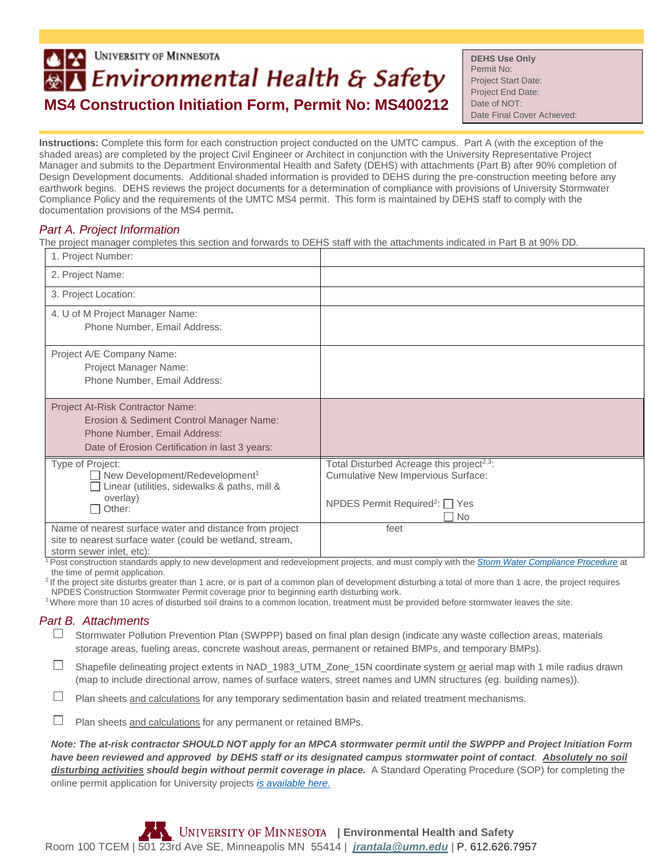## **UNIVERSITY OF MINNESOTA** Environmental Health & Safety **MS4 Construction Initiation Form, Permit No: MS400212**

**DEHS Use Only** Permit No: Project Start Date: Project End Date: Date of NOT: Date Final Cover Achieved:

**Instructions:** Complete this form for each construction project conducted on the UMTC campus. Part A (with the exception of the shaded areas) are completed by the project Civil Engineer or Architect in conjunction with the University Representative Project Manager and submits to the Department Environmental Health and Safety (DEHS) with attachments (Part B) after 90% completion of Design Development documents. Additional shaded information is provided to DEHS during the pre-construction meeting before any earthwork begins. DEHS reviews the project documents for a determination of compliance with provisions of University Stormwater Compliance Policy and the requirements of the UMTC MS4 permit. This form is maintained by DEHS staff to comply with the documentation provisions of the MS4 permit**.** 

## *Part A. Project Information*

The project manager completes this section and forwards to DEHS staff with the attachments indicated in Part B at 90% DD.

| 1. Project Number:                                                                                                                                             |                                                                                                                                                             |
|----------------------------------------------------------------------------------------------------------------------------------------------------------------|-------------------------------------------------------------------------------------------------------------------------------------------------------------|
| 2. Project Name:                                                                                                                                               |                                                                                                                                                             |
| 3. Project Location:                                                                                                                                           |                                                                                                                                                             |
| 4. U of M Project Manager Name:<br>Phone Number, Email Address:                                                                                                |                                                                                                                                                             |
| Project A/E Company Name:<br>Project Manager Name:<br>Phone Number, Email Address:                                                                             |                                                                                                                                                             |
| Project At-Risk Contractor Name:<br>Erosion & Sediment Control Manager Name:<br>Phone Number, Email Address:<br>Date of Erosion Certification in last 3 years: |                                                                                                                                                             |
| Type of Project:<br>$\Box$ New Development/Redevelopment <sup>1</sup><br>$\Box$ Linear (utilities, sidewalks & paths, mill &<br>overlay)<br>Other:<br>$\Box$   | Total Disturbed Acreage this project <sup>2,3</sup> :<br>Cumulative New Impervious Surface:<br>NPDES Permit Required <sup>2</sup> : $\Box$ Yes<br><b>No</b> |
| Name of nearest surface water and distance from project<br>site to nearest surface water (could be wetland, stream,<br>storm sewer inlet, etc):                | feet                                                                                                                                                        |

<sup>1</sup> Post construction standards apply to new development and redevelopment projects, and must comply with the *[Storm Water Compliance Procedure](http://policy.umn.edu/operations/environment-proc04)* at the time of permit application.<br><sup>2</sup> If the project site disturbs greater than 1 acre, or is part of a common plan of development disturbing a total of more than 1 acre, the project requires

NPDES Construction Stormwater Permit coverage prior to beginning earth disturbing work.

<sup>3</sup> Where more than 10 acres of disturbed soil drains to a common location, treatment must be provided before stormwater leaves the site.

## *Part B. Attachments*

- $\Box$  Stormwater Pollution Prevention Plan (SWPPP) based on final plan design (indicate any waste collection areas, materials storage areas, fueling areas, concrete washout areas, permanent or retained BMPs, and temporary BMPs).
- Shapefile delineating project extents in NAD\_1983\_UTM\_Zone\_15N coordinate system or aerial map with 1 mile radius drawn (map to include directional arrow, names of surface waters, street names and UMN structures (eg. building names)).
- $\Box$ Plan sheets and calculations for any temporary sedimentation basin and related treatment mechanisms.
- $\Box$ Plan sheets and calculations for any permanent or retained BMPs.

*Note: The at-risk contractor SHOULD NOT apply for an MPCA stormwater permit until the SWPPP and Project Initiation Form have been reviewed and approved by DEHS staff or its designated campus stormwater point of contact*. *Absolutely no soil disturbing activities should begin without permit coverage in place.* A Standard Operating Procedure (SOP) for completing the online permit application for University projects *[is available here.](http://www.dehs.umn.edu/PDFs/20160823_CSW_PermitApplication_SOP.pdf)*